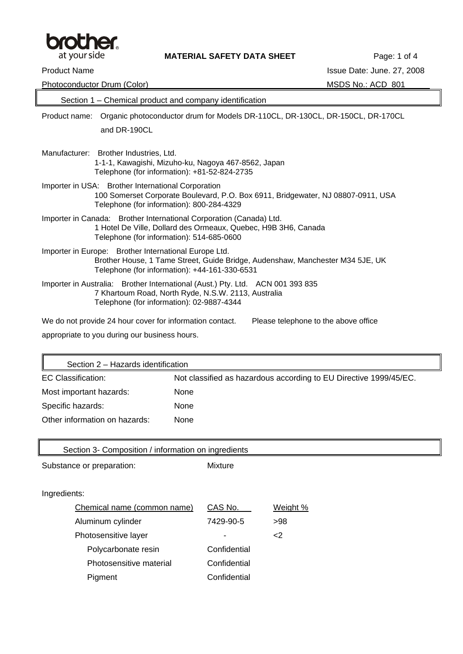

| Photoconductor Drum (Color)                                                                                                                                                             | MSDS No.: ACD 801                    |
|-----------------------------------------------------------------------------------------------------------------------------------------------------------------------------------------|--------------------------------------|
| Section 1 – Chemical product and company identification                                                                                                                                 |                                      |
| Organic photoconductor drum for Models DR-110CL, DR-130CL, DR-150CL, DR-170CL<br>Product name:                                                                                          |                                      |
| and DR-190CL                                                                                                                                                                            |                                      |
| Manufacturer: Brother Industries, Ltd.<br>1-1-1, Kawagishi, Mizuho-ku, Nagoya 467-8562, Japan<br>Telephone (for information): +81-52-824-2735                                           |                                      |
| Importer in USA: Brother International Corporation<br>100 Somerset Corporate Boulevard, P.O. Box 6911, Bridgewater, NJ 08807-0911, USA<br>Telephone (for information): 800-284-4329     |                                      |
| Importer in Canada: Brother International Corporation (Canada) Ltd.<br>1 Hotel De Ville, Dollard des Ormeaux, Quebec, H9B 3H6, Canada<br>Telephone (for information): 514-685-0600      |                                      |
| Importer in Europe: Brother International Europe Ltd.<br>Brother House, 1 Tame Street, Guide Bridge, Audenshaw, Manchester M34 5JE, UK<br>Telephone (for information): +44-161-330-6531 |                                      |
| Importer in Australia: Brother International (Aust.) Pty. Ltd. ACN 001 393 835<br>7 Khartoum Road, North Ryde, N.S.W. 2113, Australia<br>Telephone (for information): 02-9887-4344      |                                      |
| We do not provide 24 hour cover for information contact.                                                                                                                                | Please telephone to the above office |
| appropriate to you during our business hours.                                                                                                                                           |                                      |

| Section 2 - Hazards identification |                                                                   |  |
|------------------------------------|-------------------------------------------------------------------|--|
| EC Classification:                 | Not classified as hazardous according to EU Directive 1999/45/EC. |  |
| Most important hazards:            | None                                                              |  |
| Specific hazards:                  | None                                                              |  |
| Other information on hazards:      | None                                                              |  |

| Section 3- Composition / information on ingredients |              |          |
|-----------------------------------------------------|--------------|----------|
| Substance or preparation:                           | Mixture      |          |
|                                                     |              |          |
| Ingredients:                                        |              |          |
| Chemical name (common name)                         | CAS No.      | Weight % |
| Aluminum cylinder                                   | 7429-90-5    | >98      |
| Photosensitive layer                                |              | $<$ 2    |
| Polycarbonate resin                                 | Confidential |          |
| Photosensitive material                             | Confidential |          |
| Pigment                                             | Confidential |          |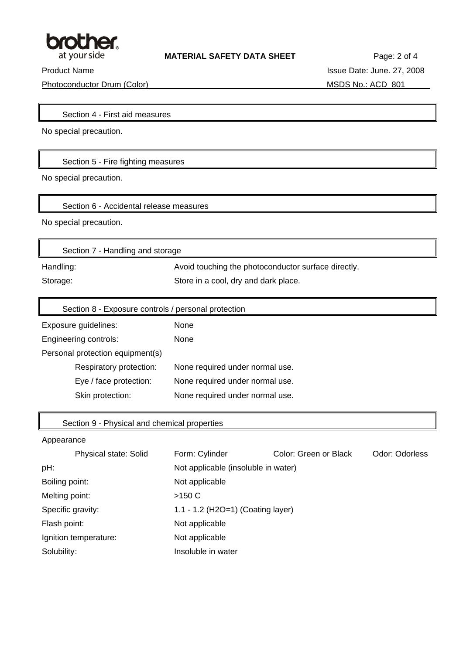

Photoconductor Drum (Color) MSDS No.: ACD 801

Product Name Issue Date: June. 27, 2008

╗

Section 4 - First aid measures

No special precaution.

Section 5 - Fire fighting measures

No special precaution.

Section 6 - Accidental release measures

No special precaution.

| Section 7 - Handling and storage |                                                     |
|----------------------------------|-----------------------------------------------------|
| Handling:                        | Avoid touching the photoconductor surface directly. |
| Storage:                         | Store in a cool, dry and dark place.                |

| Section 8 - Exposure controls / personal protection |                                 |
|-----------------------------------------------------|---------------------------------|
| Exposure guidelines:                                | <b>None</b>                     |
| Engineering controls:                               | None                            |
| Personal protection equipment(s)                    |                                 |
| Respiratory protection:                             | None required under normal use. |
| Eye / face protection:                              | None required under normal use. |
| Skin protection:                                    | None required under normal use. |

## Section 9 - Physical and chemical properties

## Appearance

|                   | Physical state: Solid | Form: Cylinder                      | Color: Green or Black | Odor: Odorless |
|-------------------|-----------------------|-------------------------------------|-----------------------|----------------|
| pH:               |                       | Not applicable (insoluble in water) |                       |                |
| Boiling point:    |                       | Not applicable                      |                       |                |
| Melting point:    |                       | >150 C                              |                       |                |
| Specific gravity: |                       | 1.1 - 1.2 (H2O=1) (Coating layer)   |                       |                |
| Flash point:      |                       | Not applicable                      |                       |                |
|                   | Ignition temperature: | Not applicable                      |                       |                |
| Solubility:       |                       | Insoluble in water                  |                       |                |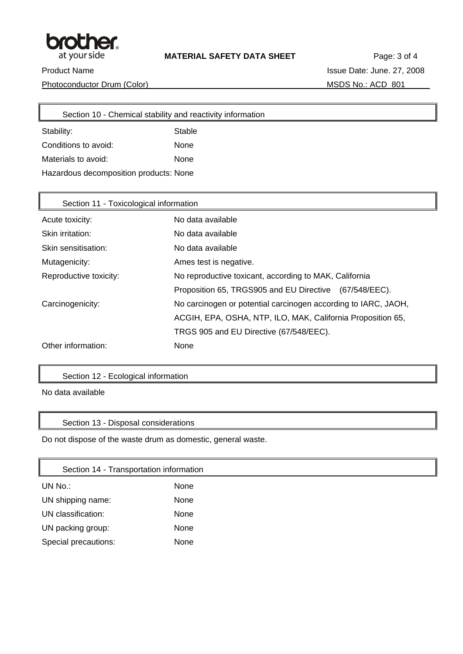

Īī

Photoconductor Drum (Color) MSDS No.: ACD 801

Product Name Issue Date: June. 27, 2008

| Section 10 - Chemical stability and reactivity information |             |  |
|------------------------------------------------------------|-------------|--|
| Stability:                                                 | Stable      |  |
| Conditions to avoid:                                       | None        |  |
| Materials to avoid:                                        | <b>None</b> |  |
| Hazardous decomposition products: None                     |             |  |

| Section 11 - Toxicological information |                                                                |  |
|----------------------------------------|----------------------------------------------------------------|--|
| Acute toxicity:                        | No data available                                              |  |
| Skin irritation:                       | No data available                                              |  |
| Skin sensitisation:                    | No data available                                              |  |
| Mutagenicity:                          | Ames test is negative.                                         |  |
| Reproductive toxicity:                 | No reproductive toxicant, according to MAK, California         |  |
|                                        | Proposition 65, TRGS905 and EU Directive (67/548/EEC).         |  |
| Carcinogenicity:                       | No carcinogen or potential carcinogen according to IARC, JAOH, |  |
|                                        | ACGIH, EPA, OSHA, NTP, ILO, MAK, California Proposition 65,    |  |
|                                        | TRGS 905 and EU Directive (67/548/EEC).                        |  |
| Other information:                     | None                                                           |  |

## Section 12 - Ecological information

No data available

## Section 13 - Disposal considerations

Do not dispose of the waste drum as domestic, general waste.

| Section 14 - Transportation information |      |
|-----------------------------------------|------|
| UN No.:                                 | None |
| UN shipping name:                       | None |
| UN classification:                      | None |
| UN packing group:                       | None |
| Special precautions:                    | None |